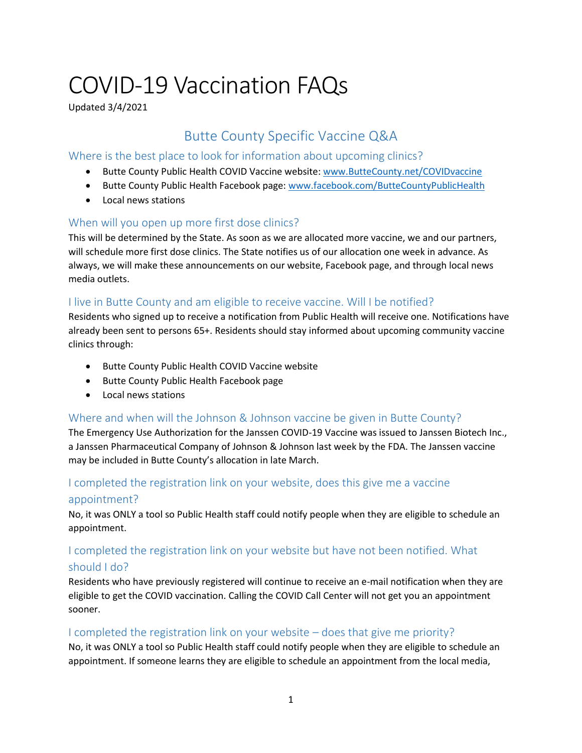# COVID-19 Vaccination FAQs

Updated 3/4/2021

## Butte County Specific Vaccine Q&A

#### Where is the best place to look for information about upcoming clinics?

- Butte County Public Health COVID Vaccine website: [www.ButteCounty.net/COVIDvaccine](http://www.buttecounty.net/COVIDvaccine)
- Butte County Public Health Facebook page: [www.facebook.com/ButteCountyPublicHealth](https://www.facebook.com/buttecountypublichealth)
- Local news stations

#### When will you open up more first dose clinics?

This will be determined by the State. As soon as we are allocated more vaccine, we and our partners, will schedule more first dose clinics. The State notifies us of our allocation one week in advance. As always, we will make these announcements on our website, Facebook page, and through local news media outlets.

#### I live in Butte County and am eligible to receive vaccine. Will I be notified?

Residents who signed up to receive a notification from Public Health will receive one. Notifications have already been sent to persons 65+. Residents should stay informed about upcoming community vaccine clinics through:

- Butte County Public Health COVID Vaccine website
- **•** Butte County Public Health Facebook page
- Local news stations

#### Where and when will the Johnson & Johnson vaccine be given in Butte County?

The Emergency Use Authorization for the Janssen COVID-19 Vaccine was issued to Janssen Biotech Inc., a Janssen Pharmaceutical Company of Johnson & Johnson last week by the FDA. The Janssen vaccine may be included in Butte County's allocation in late March.

## I completed the registration link on your website, does this give me a vaccine appointment?

No, it was ONLY a tool so Public Health staff could notify people when they are eligible to schedule an appointment.

## I completed the registration link on your website but have not been notified. What should I do?

Residents who have previously registered will continue to receive an e-mail notification when they are eligible to get the COVID vaccination. Calling the COVID Call Center will not get you an appointment sooner.

#### I completed the registration link on your website – does that give me priority?

No, it was ONLY a tool so Public Health staff could notify people when they are eligible to schedule an appointment. If someone learns they are eligible to schedule an appointment from the local media,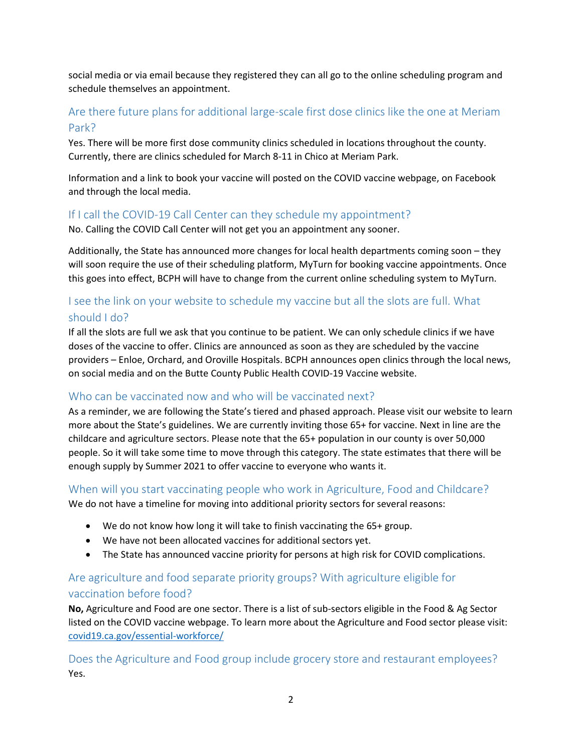social media or via email because they registered they can all go to the online scheduling program and schedule themselves an appointment.

## Are there future plans for additional large-scale first dose clinics like the one at Meriam Park?

Yes. There will be more first dose community clinics scheduled in locations throughout the county. Currently, there are clinics scheduled for March 8-11 in Chico at Meriam Park.

Information and a link to book your vaccine will posted on the COVID vaccine webpage, on Facebook and through the local media.

#### If I call the COVID-19 Call Center can they schedule my appointment?

No. Calling the COVID Call Center will not get you an appointment any sooner.

Additionally, the State has announced more changes for local health departments coming soon – they will soon require the use of their scheduling platform, MyTurn for booking vaccine appointments. Once this goes into effect, BCPH will have to change from the current online scheduling system to MyTurn.

## I see the link on your website to schedule my vaccine but all the slots are full. What should I do?

If all the slots are full we ask that you continue to be patient. We can only schedule clinics if we have doses of the vaccine to offer. Clinics are announced as soon as they are scheduled by the vaccine providers – Enloe, Orchard, and Oroville Hospitals. BCPH announces open clinics through the local news, on social media and on the Butte County Public Health COVID-19 Vaccine website.

#### Who can be vaccinated now and who will be vaccinated next?

As a reminder, we are following the State's tiered and phased approach. Please visit our website to learn more about the State's guidelines. We are currently inviting those 65+ for vaccine. Next in line are the childcare and agriculture sectors. Please note that the 65+ population in our county is over 50,000 people. So it will take some time to move through this category. The state estimates that there will be enough supply by Summer 2021 to offer vaccine to everyone who wants it.

## When will you start vaccinating people who work in Agriculture, Food and Childcare?

We do not have a timeline for moving into additional priority sectors for several reasons:

- We do not know how long it will take to finish vaccinating the 65+ group.
- We have not been allocated vaccines for additional sectors yet.
- The State has announced vaccine priority for persons at high risk for COVID complications.

## Are agriculture and food separate priority groups? With agriculture eligible for vaccination before food?

**No,** Agriculture and Food are one sector. There is a list of sub-sectors eligible in the Food & Ag Sector listed on the COVID vaccine webpage. To learn more about the Agriculture and Food sector please visit: [covid19.ca.gov/essential-workforce/](https://covid19.ca.gov/essential-workforce/)

Does the Agriculture and Food group include grocery store and restaurant employees? Yes.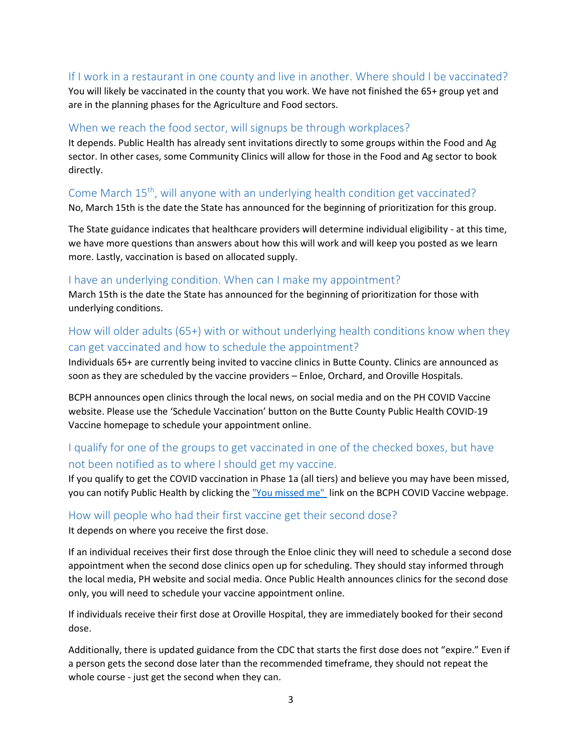#### If I work in a restaurant in one county and live in another. Where should I be vaccinated?

You will likely be vaccinated in the county that you work. We have not finished the 65+ group yet and are in the planning phases for the Agriculture and Food sectors.

#### When we reach the food sector, will signups be through workplaces?

It depends. Public Health has already sent invitations directly to some groups within the Food and Ag sector. In other cases, some Community Clinics will allow for those in the Food and Ag sector to book directly.

### Come March 15<sup>th</sup>, will anyone with an underlying health condition get vaccinated?

No, March 15th is the date the State has announced for the beginning of prioritization for this group.

The State guidance indicates that healthcare providers will determine individual eligibility - at this time, we have more questions than answers about how this will work and will keep you posted as we learn more. Lastly, vaccination is based on allocated supply.

#### I have an underlying condition. When can I make my appointment?

March 15th is the date the State has announced for the beginning of prioritization for those with underlying conditions.

#### How will older adults (65+) with or without underlying health conditions know when they can get vaccinated and how to schedule the appointment?

Individuals 65+ are currently being invited to vaccine clinics in Butte County. Clinics are announced as soon as they are scheduled by the vaccine providers – Enloe, Orchard, and Oroville Hospitals.

BCPH announces open clinics through the local news, on social media and on the PH COVID Vaccine website. Please use the 'Schedule Vaccination' button on the Butte County Public Health COVID-19 Vaccine homepage to schedule your appointment online.

#### I qualify for one of the groups to get vaccinated in one of the checked boxes, but have not been notified as to where I should get my vaccine.

If you qualify to get the COVID vaccination in Phase 1a (all tiers) and believe you may have been missed, you can notify Public Health by clicking the ["You missed me"](mailto:WeMissedYou@ButteCounty.net) link on the BCPH COVID Vaccine webpage.

## How will people who had their first vaccine get their second dose?

It depends on where you receive the first dose.

If an individual receives their first dose through the Enloe clinic they will need to schedule a second dose appointment when the second dose clinics open up for scheduling. They should stay informed through the local media, PH website and social media. Once Public Health announces clinics for the second dose only, you will need to schedule your vaccine appointment online.

If individuals receive their first dose at Oroville Hospital, they are immediately booked for their second dose.

Additionally, there is updated guidance from the CDC that starts the first dose does not "expire." Even if a person gets the second dose later than the recommended timeframe, they should not repeat the whole course - just get the second when they can.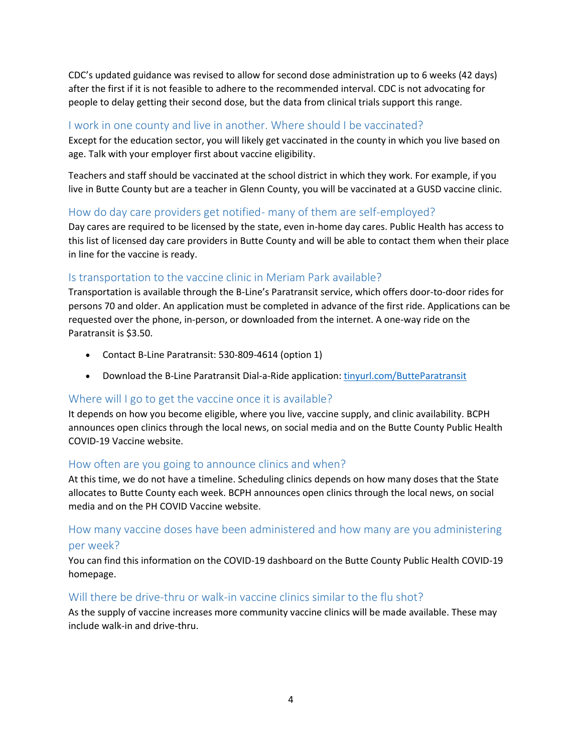CDC's updated guidance was revised to allow for second dose administration up to 6 weeks (42 days) after the first if it is not feasible to adhere to the recommended interval. CDC is not advocating for people to delay getting their second dose, but the data from clinical trials support this range.

#### I work in one county and live in another. Where should I be vaccinated?

Except for the education sector, you will likely get vaccinated in the county in which you live based on age. Talk with your employer first about vaccine eligibility.

Teachers and staff should be vaccinated at the school district in which they work. For example, if you live in Butte County but are a teacher in Glenn County, you will be vaccinated at a GUSD vaccine clinic.

#### How do day care providers get notified- many of them are self-employed?

Day cares are required to be licensed by the state, even in-home day cares. Public Health has access to this list of licensed day care providers in Butte County and will be able to contact them when their place in line for the vaccine is ready.

#### Is transportation to the vaccine clinic in Meriam Park available?

Transportation is available through the B-Line's Paratransit service, which offers door-to-door rides for persons 70 and older. An application must be completed in advance of the first ride. Applications can be requested over the phone, in-person, or downloaded from the internet. A one-way ride on the Paratransit is \$3.50.

- Contact B-Line Paratransit: 530-809-4614 (option 1)
- Download the B-Line Paratransit Dial-a-Ride application: [tinyurl.com/ButteParatransit](http://tinyurl.com/ButteParatransit)

#### Where will I go to get the vaccine once it is available?

It depends on how you become eligible, where you live, vaccine supply, and clinic availability. BCPH announces open clinics through the local news, on social media and on the Butte County Public Health COVID-19 Vaccine website.

#### How often are you going to announce clinics and when?

At this time, we do not have a timeline. Scheduling clinics depends on how many doses that the State allocates to Butte County each week. BCPH announces open clinics through the local news, on social media and on the PH COVID Vaccine website.

#### How many vaccine doses have been administered and how many are you administering per week?

You can find this information on the COVID-19 dashboard on the Butte County Public Health COVID-19 homepage.

#### Will there be drive-thru or walk-in vaccine clinics similar to the flu shot?

As the supply of vaccine increases more community vaccine clinics will be made available. These may include walk-in and drive-thru.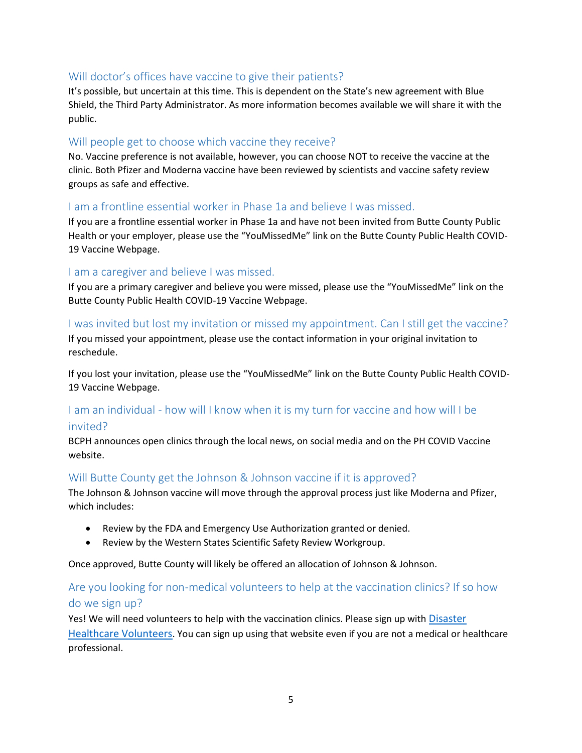#### Will doctor's offices have vaccine to give their patients?

It's possible, but uncertain at this time. This is dependent on the State's new agreement with Blue Shield, the Third Party Administrator. As more information becomes available we will share it with the public.

#### Will people get to choose which vaccine they receive?

No. Vaccine preference is not available, however, you can choose NOT to receive the vaccine at the clinic. Both Pfizer and Moderna vaccine have been reviewed by scientists and vaccine safety review groups as safe and effective.

#### I am a frontline essential worker in Phase 1a and believe I was missed.

If you are a frontline essential worker in Phase 1a and have not been invited from Butte County Public Health or your employer, please use the "YouMissedMe" link on the Butte County Public Health COVID-19 Vaccine Webpage.

#### I am a caregiver and believe I was missed.

If you are a primary caregiver and believe you were missed, please use the "YouMissedMe" link on the Butte County Public Health COVID-19 Vaccine Webpage.

## I was invited but lost my invitation or missed my appointment. Can I still get the vaccine?

If you missed your appointment, please use the contact information in your original invitation to reschedule.

If you lost your invitation, please use the "YouMissedMe" link on the Butte County Public Health COVID-19 Vaccine Webpage.

#### I am an individual - how will I know when it is my turn for vaccine and how will I be invited?

BCPH announces open clinics through the local news, on social media and on the PH COVID Vaccine website.

#### Will Butte County get the Johnson & Johnson vaccine if it is approved?

The Johnson & Johnson vaccine will move through the approval process just like Moderna and Pfizer, which includes:

- Review by the FDA and Emergency Use Authorization granted or denied.
- Review by the Western States Scientific Safety Review Workgroup.

Once approved, Butte County will likely be offered an allocation of Johnson & Johnson.

#### Are you looking for non-medical volunteers to help at the vaccination clinics? If so how do we sign up?

Yes! We will need volunteers to help with the vaccination clinics. Please sign up with Disaster [Healthcare Volunteers](https://www.healthcarevolunteers.ca.gov/). You can sign up using that website even if you are not a medical or healthcare professional.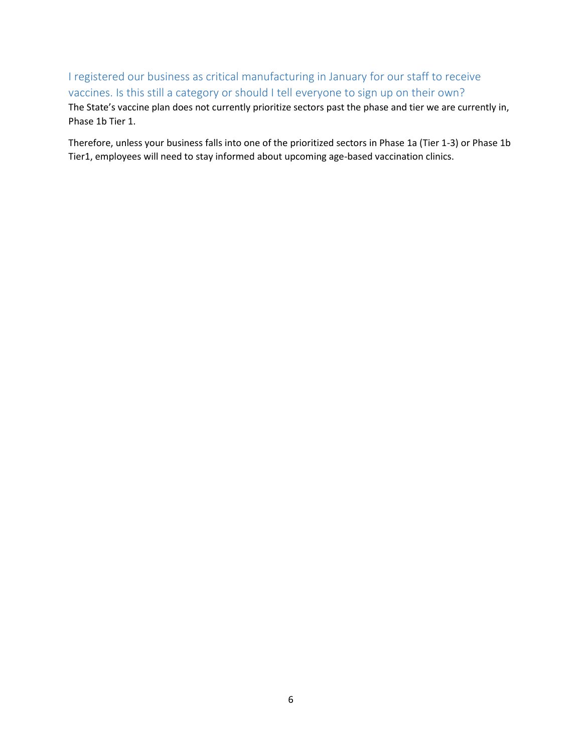I registered our business as critical manufacturing in January for our staff to receive vaccines. Is this still a category or should I tell everyone to sign up on their own? The State's vaccine plan does not currently prioritize sectors past the phase and tier we are currently in, Phase 1b Tier 1.

Therefore, unless your business falls into one of the prioritized sectors in Phase 1a (Tier 1-3) or Phase 1b Tier1, employees will need to stay informed about upcoming age-based vaccination clinics.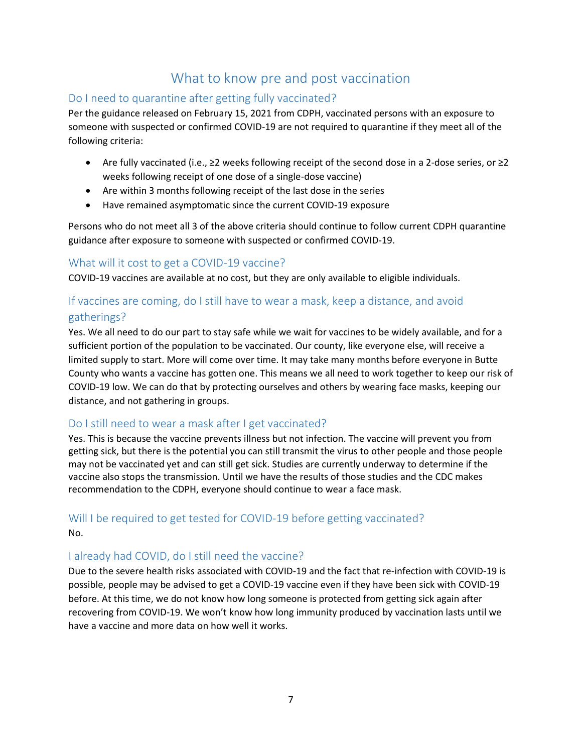## What to know pre and post vaccination

#### Do I need to quarantine after getting fully vaccinated?

Per the guidance released on February 15, 2021 from CDPH, vaccinated persons with an exposure to someone with suspected or confirmed COVID-19 are not required to quarantine if they meet all of the following criteria:

- Are fully vaccinated (i.e., ≥2 weeks following receipt of the second dose in a 2-dose series, or ≥2 weeks following receipt of one dose of a single-dose vaccine)
- Are within 3 months following receipt of the last dose in the series
- Have remained asymptomatic since the current COVID-19 exposure

Persons who do not meet all 3 of the above criteria should continue to follow current CDPH quarantine guidance after exposure to someone with suspected or confirmed COVID-19.

#### What will it cost to get a COVID-19 vaccine?

COVID-19 vaccines are available at no cost, but they are only available to eligible individuals.

## If vaccines are coming, do I still have to wear a mask, keep a distance, and avoid gatherings?

Yes. We all need to do our part to stay safe while we wait for vaccines to be widely available, and for a sufficient portion of the population to be vaccinated. Our county, like everyone else, will receive a limited supply to start. More will come over time. It may take many months before everyone in Butte County who wants a vaccine has gotten one. This means we all need to work together to keep our risk of COVID-19 low. We can do that by protecting ourselves and others by wearing face masks, keeping our distance, and not gathering in groups.

#### Do I still need to wear a mask after I get vaccinated?

Yes. This is because the vaccine prevents illness but not infection. The vaccine will prevent you from getting sick, but there is the potential you can still transmit the virus to other people and those people may not be vaccinated yet and can still get sick. Studies are currently underway to determine if the vaccine also stops the transmission. Until we have the results of those studies and the CDC makes recommendation to the CDPH, everyone should continue to wear a face mask.

## Will I be required to get tested for COVID-19 before getting vaccinated? No.

#### I already had COVID, do I still need the vaccine?

Due to the severe health risks associated with COVID-19 and the fact that re-infection with COVID-19 is possible, people may be advised to get a COVID-19 vaccine even if they have been sick with COVID-19 before. At this time, we do not know how long someone is protected from getting sick again after recovering from COVID-19. We won't know how long immunity produced by vaccination lasts until we have a vaccine and more data on how well it works.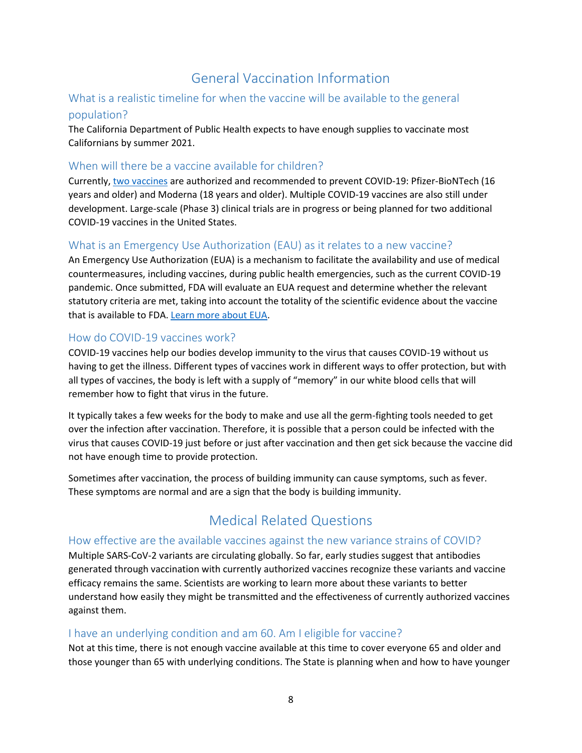## General Vaccination Information

#### What is a realistic timeline for when the vaccine will be available to the general population?

The California Department of Public Health expects to have enough supplies to vaccinate most Californians by summer 2021.

#### When will there be a vaccine available for children?

Currently, [two vaccines](https://www.cdc.gov/coronavirus/2019-ncov/vaccines/different-vaccines.html) are authorized and recommended to prevent COVID-19: Pfizer-BioNTech (16 years and older) and Moderna (18 years and older). Multiple COVID-19 vaccines are also still under development. Large-scale (Phase 3) clinical trials are in progress or being planned for two additional COVID-19 vaccines in the United States.

#### What is an Emergency Use Authorization (EAU) as it relates to a new vaccine?

An Emergency Use Authorization (EUA) is a mechanism to facilitate the availability and use of medical countermeasures, including vaccines, during public health emergencies, such as the current COVID-19 pandemic. Once submitted, FDA will evaluate an EUA request and determine whether the relevant statutory criteria are met, taking into account the totality of the scientific evidence about the vaccine that is available to FDA. [Learn more about EUA.](https://www.fda.gov/vaccines-blood-biologics/vaccines/emergency-use-authorization-vaccines-explained)

#### How do COVID-19 vaccines work?

COVID-19 vaccines help our bodies develop immunity to the virus that causes COVID-19 without us having to get the illness. Different types of vaccines work in different ways to offer protection, but with all types of vaccines, the body is left with a supply of "memory" in our white blood cells that will remember how to fight that virus in the future.

It typically takes a few weeks for the body to make and use all the germ-fighting tools needed to get over the infection after vaccination. Therefore, it is possible that a person could be infected with the virus that causes COVID-19 just before or just after vaccination and then get sick because the vaccine did not have enough time to provide protection.

Sometimes after vaccination, the process of building immunity can cause symptoms, such as fever. These symptoms are normal and are a sign that the body is building immunity.

## Medical Related Questions

#### How effective are the available vaccines against the new variance strains of COVID?

Multiple SARS-CoV-2 variants are circulating globally. So far, early studies suggest that antibodies generated through vaccination with currently authorized vaccines recognize these variants and vaccine efficacy remains the same. Scientists are working to learn more about these variants to better understand how easily they might be transmitted and the effectiveness of currently authorized vaccines against them.

#### I have an underlying condition and am 60. Am I eligible for vaccine?

Not at this time, there is not enough vaccine available at this time to cover everyone 65 and older and those younger than 65 with underlying conditions. The State is planning when and how to have younger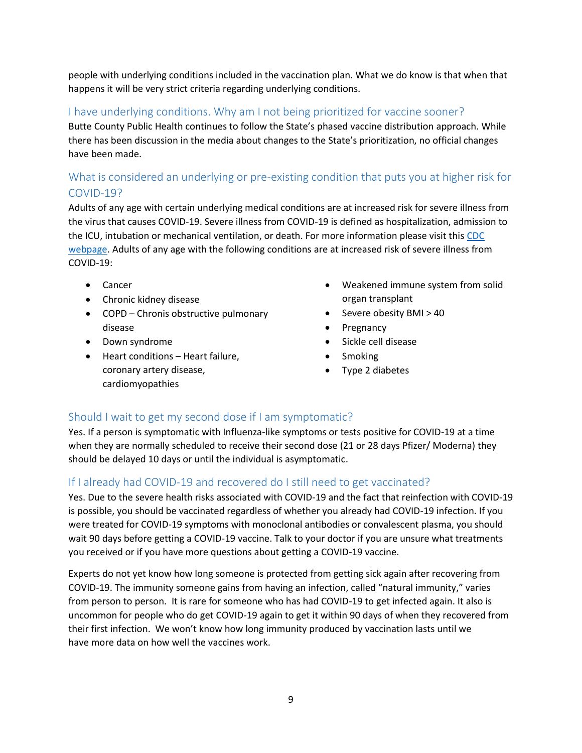people with underlying conditions included in the vaccination plan. What we do know is that when that happens it will be very strict criteria regarding underlying conditions.

#### I have underlying conditions. Why am I not being prioritized for vaccine sooner?

Butte County Public Health continues to follow the State's phased vaccine distribution approach. While there has been discussion in the media about changes to the State's prioritization, no official changes have been made.

## What is considered an underlying or pre-existing condition that puts you at higher risk for COVID-19?

Adults of any age with certain underlying medical conditions are at increased risk for severe illness from the virus that causes COVID-19. Severe illness from COVID-19 is defined as hospitalization, admission to the ICU, intubation or mechanical ventilation, or death. For more information please visit this CDC [webpage.](https://www.cdc.gov/coronavirus/2019-ncov/need-extra-precautions/people-with-medical-conditions.html) Adults of any age with the following conditions are at increased risk of severe illness from COVID-19:

- Cancer
- Chronic kidney disease
- COPD Chronis obstructive pulmonary disease
- Down syndrome
- Heart conditions Heart failure, coronary artery disease, cardiomyopathies
- Weakened immune system from solid organ transplant
- $\bullet$  Severe obesity BMI > 40
- Pregnancy
- Sickle cell disease
- Smoking
- Type 2 diabetes

#### Should I wait to get my second dose if I am symptomatic?

Yes. If a person is symptomatic with Influenza-like symptoms or tests positive for COVID-19 at a time when they are normally scheduled to receive their second dose (21 or 28 days Pfizer/ Moderna) they should be delayed 10 days or until the individual is asymptomatic.

#### If I already had COVID-19 and recovered do I still need to get vaccinated?

Yes. Due to the severe health risks associated with COVID-19 and the fact that reinfection with COVID-19 is possible, you should be vaccinated regardless of whether you already had COVID-19 infection. If you were treated for COVID-19 symptoms with monoclonal antibodies or convalescent plasma, you should wait 90 days before getting a COVID-19 vaccine. Talk to your doctor if you are unsure what treatments you received or if you have more questions about getting a COVID-19 vaccine.

Experts do not yet know how long someone is protected from getting sick again after recovering from COVID-19. The immunity someone gains from having an infection, called "natural immunity," varies from person to person. It is rare for someone who has had COVID-19 to get infected again. It also is uncommon for people who do get COVID-19 again to get it within 90 days of when they recovered from their first infection. We won't know how long immunity produced by vaccination lasts until we have more data on how well the vaccines work.